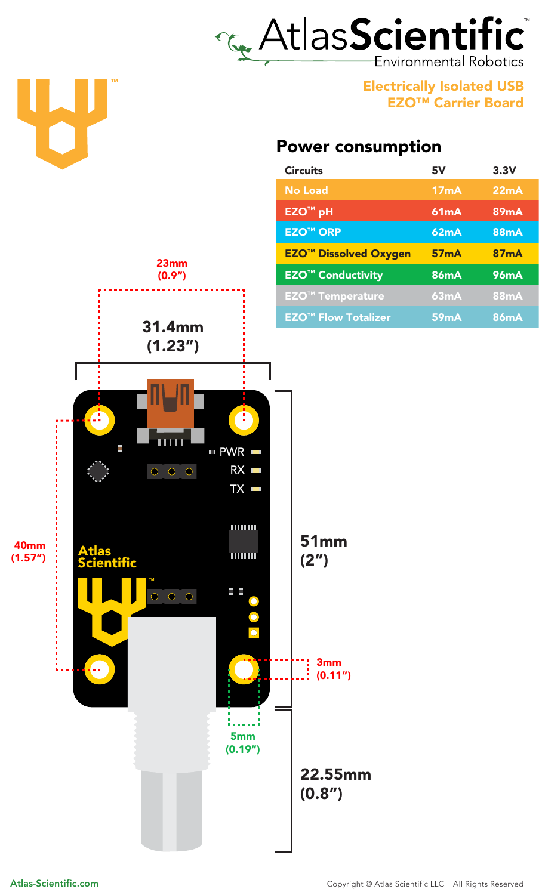## LAtlasScientific Environmental Robotics

Electrically Isolated USB EZO™ Carrier Board

## Power consumption

| <b>Circuits</b>                         | 5V          | 3.3V        |
|-----------------------------------------|-------------|-------------|
| <b>No Load</b>                          | 17mA        | 22mA        |
| <b>EZO<sup>™</sup> pH</b>               | <b>61mA</b> | <b>89mA</b> |
| <b>EZO<sup>™</sup>ORP</b>               | <b>62mA</b> | <b>88mA</b> |
| <b>EZO<sup>™</sup> Dissolved Oxygen</b> | <b>57mA</b> | <b>87mA</b> |
| <b>EZO<sup>™</sup> Conductivity</b>     | <b>86mA</b> | <b>96mA</b> |
| <b>EZO<sup>™</sup> Temperature</b>      | 63mA        | <b>88mA</b> |
| <b>EZO<sup>™</sup> Flow Totalizer</b>   | <b>59mA</b> | <b>86mA</b> |



TM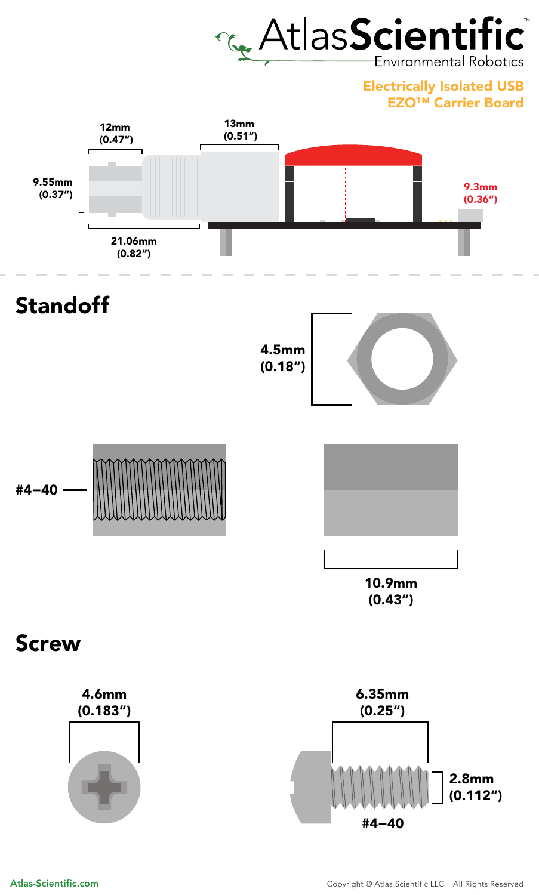

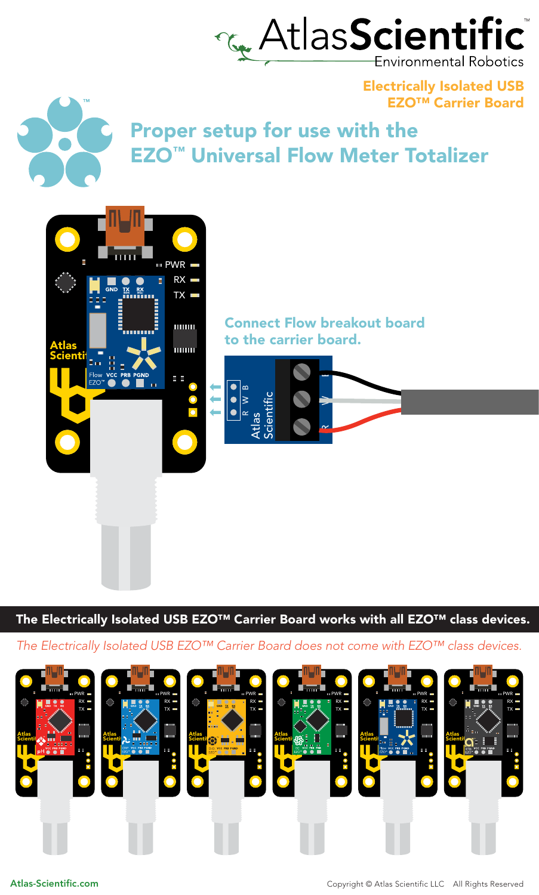

Electrically Isolated USB EZO™ Carrier Board



Proper setup for use with the EZO™ Universal Flow Meter Totalizer



The Electrically Isolated USB EZO<sup>™</sup> Carrier Board works with all EZO<sup>™</sup> class devices.

*The Electrically Isolated USB EZO™ Carrier Board does not come with EZO™ class devices.*